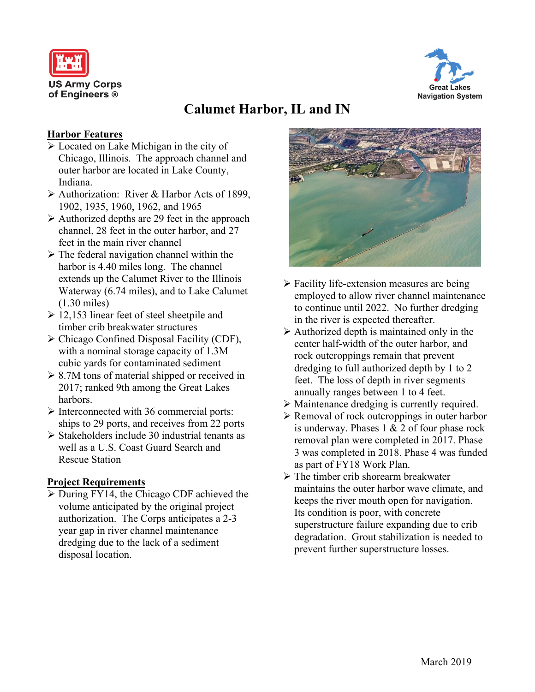



# **Calumet Harbor, IL and IN**

## **Harbor Features**

- Located on Lake Michigan in the city of Chicago, Illinois. The approach channel and outer harbor are located in Lake County, Indiana.
- Authorization: River & Harbor Acts of 1899, 1902, 1935, 1960, 1962, and 1965
- $\triangleright$  Authorized depths are 29 feet in the approach channel, 28 feet in the outer harbor, and 27 feet in the main river channel
- $\triangleright$  The federal navigation channel within the harbor is 4.40 miles long. The channel extends up the Calumet River to the Illinois Waterway (6.74 miles), and to Lake Calumet (1.30 miles)
- $\geq 12,153$  linear feet of steel sheetpile and timber crib breakwater structures
- $\triangleright$  Chicago Confined Disposal Facility (CDF), with a nominal storage capacity of 1.3M cubic yards for contaminated sediment
- $\geq 8.7M$  tons of material shipped or received in 2017; ranked 9th among the Great Lakes harbors.
- $\triangleright$  Interconnected with 36 commercial ports: ships to 29 ports, and receives from 22 ports
- $\triangleright$  Stakeholders include 30 industrial tenants as well as a U.S. Coast Guard Search and Rescue Station

## **Project Requirements**

 $\triangleright$  During FY14, the Chicago CDF achieved the volume anticipated by the original project authorization. The Corps anticipates a 2-3 year gap in river channel maintenance dredging due to the lack of a sediment disposal location.



- $\triangleright$  Facility life-extension measures are being employed to allow river channel maintenance to continue until 2022. No further dredging in the river is expected thereafter.
- $\triangleright$  Authorized depth is maintained only in the center half-width of the outer harbor, and rock outcroppings remain that prevent dredging to full authorized depth by 1 to 2 feet. The loss of depth in river segments annually ranges between 1 to 4 feet.
- Maintenance dredging is currently required.
- $\triangleright$  Removal of rock outcroppings in outer harbor is underway. Phases  $1 \& 2$  of four phase rock removal plan were completed in 2017. Phase 3 was completed in 2018. Phase 4 was funded as part of FY18 Work Plan.
- $\triangleright$  The timber crib shorearm breakwater maintains the outer harbor wave climate, and keeps the river mouth open for navigation. Its condition is poor, with concrete superstructure failure expanding due to crib degradation. Grout stabilization is needed to prevent further superstructure losses.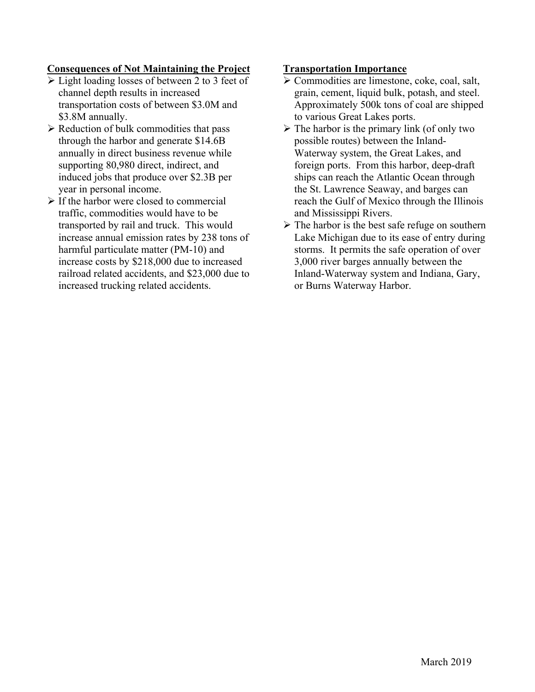# **Consequences of Not Maintaining the Project**

- $\triangleright$  Light loading losses of between 2 to 3 feet of channel depth results in increased transportation costs of between \$3.0M and \$3.8M annually.
- $\triangleright$  Reduction of bulk commodities that pass through the harbor and generate \$14.6B annually in direct business revenue while supporting 80,980 direct, indirect, and induced jobs that produce over \$2.3B per year in personal income.
- $\triangleright$  If the harbor were closed to commercial traffic, commodities would have to be transported by rail and truck. This would increase annual emission rates by 238 tons of harmful particulate matter (PM-10) and increase costs by \$218,000 due to increased railroad related accidents, and \$23,000 due to increased trucking related accidents.

#### **Transportation Importance**

- $\triangleright$  Commodities are limestone, coke, coal, salt, grain, cement, liquid bulk, potash, and steel. Approximately 500k tons of coal are shipped to various Great Lakes ports.
- $\triangleright$  The harbor is the primary link (of only two possible routes) between the Inland-Waterway system, the Great Lakes, and foreign ports. From this harbor, deep-draft ships can reach the Atlantic Ocean through the St. Lawrence Seaway, and barges can reach the Gulf of Mexico through the Illinois and Mississippi Rivers.
- $\triangleright$  The harbor is the best safe refuge on southern Lake Michigan due to its ease of entry during storms. It permits the safe operation of over 3,000 river barges annually between the Inland-Waterway system and Indiana, Gary, or Burns Waterway Harbor.